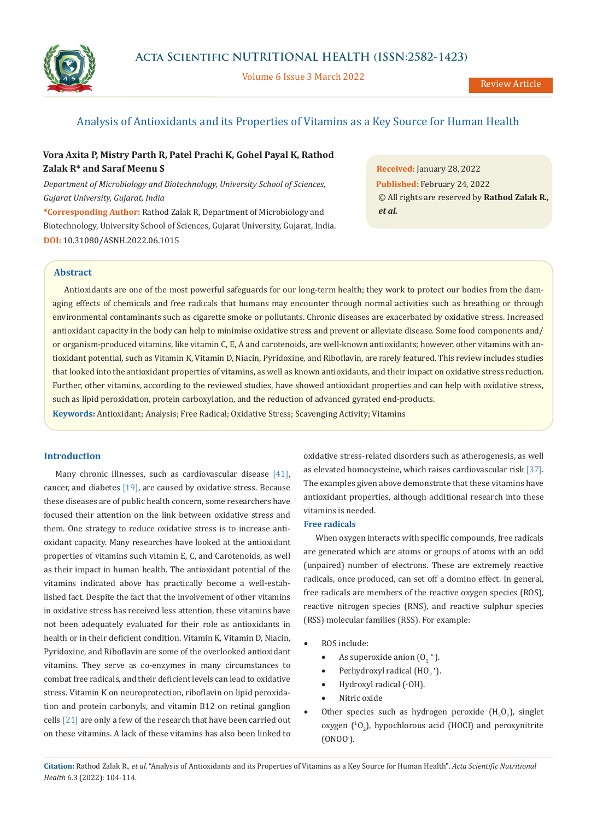

Volume 6 Issue 3 March 2022

# Analysis of Antioxidants and its Properties of Vitamins as a Key Source for Human Health

# **Vora Axita P, Mistry Parth R, Patel Prachi K, Gohel Payal K, Rathod Zalak R\* and Saraf Meenu S**

*Department of Microbiology and Biotechnology, University School of Sciences, Gujarat University, Gujarat, India*

**\*Corresponding Author:** Rathod Zalak R, Department of Microbiology and Biotechnology, University School of Sciences, Gujarat University, Gujarat, India. **DOI:** [10.31080/ASNH.2022.06.1015](https://actascientific.com/ASNH/pdf/ASNH-06-1015.pdf)

**Received:** January 28, 2022 **Published:** February 24, 2022 © All rights are reserved by **Rathod Zalak R***., et al.*

## **Abstract**

Antioxidants are one of the most powerful safeguards for our long-term health; they work to protect our bodies from the damaging effects of chemicals and free radicals that humans may encounter through normal activities such as breathing or through environmental contaminants such as cigarette smoke or pollutants. Chronic diseases are exacerbated by oxidative stress. Increased antioxidant capacity in the body can help to minimise oxidative stress and prevent or alleviate disease. Some food components and/ or organism-produced vitamins, like vitamin C, E, A and carotenoids, are well-known antioxidants; however, other vitamins with antioxidant potential, such as Vitamin K, Vitamin D, Niacin, Pyridoxine, and Riboflavin, are rarely featured. This review includes studies that looked into the antioxidant properties of vitamins, as well as known antioxidants, and their impact on oxidative stress reduction. Further, other vitamins, according to the reviewed studies, have showed antioxidant properties and can help with oxidative stress, such as lipid peroxidation, protein carboxylation, and the reduction of advanced gyrated end-products.

**Keywords:** Antioxidant; Analysis; Free Radical; Oxidative Stress; Scavenging Activity; Vitamins

## **Introduction**

Many chronic illnesses, such as cardiovascular disease [41], cancer, and diabetes [19], are caused by oxidative stress. Because these diseases are of public health concern, some researchers have focused their attention on the link between oxidative stress and them. One strategy to reduce oxidative stress is to increase antioxidant capacity. Many researches have looked at the antioxidant properties of vitamins such vitamin E, C, and Carotenoids, as well as their impact in human health. The antioxidant potential of the vitamins indicated above has practically become a well-established fact. Despite the fact that the involvement of other vitamins in oxidative stress has received less attention, these vitamins have not been adequately evaluated for their role as antioxidants in health or in their deficient condition. Vitamin K, Vitamin D, Niacin, Pyridoxine, and Riboflavin are some of the overlooked antioxidant vitamins. They serve as co-enzymes in many circumstances to combat free radicals, and their deficient levels can lead to oxidative stress. Vitamin K on neuroprotection, riboflavin on lipid peroxidation and protein carbonyls, and vitamin B12 on retinal ganglion cells  $[21]$  are only a few of the research that have been carried out on these vitamins. A lack of these vitamins has also been linked to oxidative stress-related disorders such as atherogenesis, as well as elevated homocysteine, which raises cardiovascular risk [37]. The examples given above demonstrate that these vitamins have antioxidant properties, although additional research into these vitamins is needed.

## **Free radicals**

When oxygen interacts with specific compounds, free radicals are generated which are atoms or groups of atoms with an odd (unpaired) number of electrons. These are extremely reactive radicals, once produced, can set off a domino effect. In general, free radicals are members of the reactive oxygen species (ROS), reactive nitrogen species (RNS), and reactive sulphur species (RSS) molecular families (RSS). For example:

- ROS include:
	- As superoxide anion  $(0_2^{\bullet})$ .
	- Perhydroxyl radical  $(HO_2^{\bullet})$ .
	- Hydroxyl radical (·OH).
	- Nitric oxide
- Other species such as hydrogen peroxide  $(H_2O_2)$ , singlet oxygen  $(^1O_2)$ , hypochlorous acid (HOCl) and peroxynitrite (ONOO- ).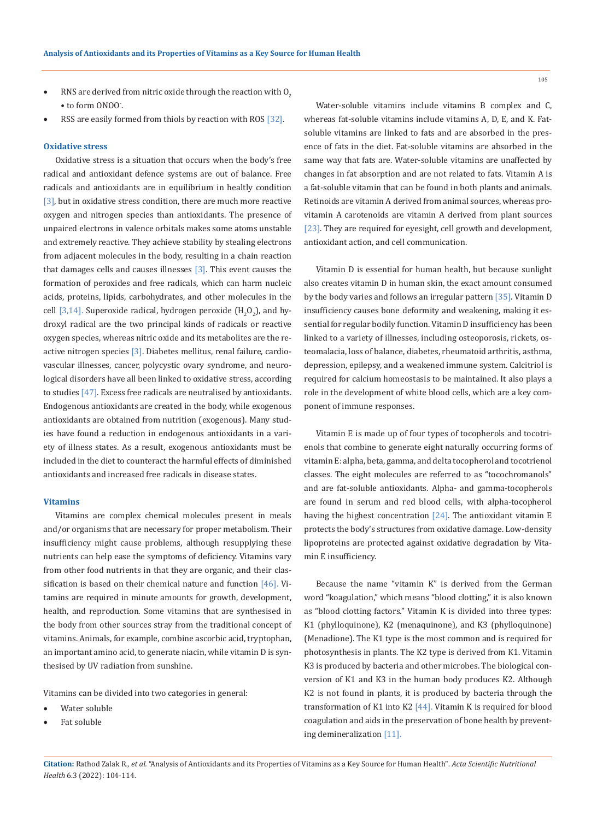- RNS are derived from nitric oxide through the reaction with  $0<sub>2</sub>$ • to form ONOO- .
- RSS are easily formed from thiols by reaction with ROS [32].

#### **Oxidative stress**

Oxidative stress is a situation that occurs when the body's free radical and antioxidant defence systems are out of balance. Free radicals and antioxidants are in equilibrium in healtly condition [3], but in oxidative stress condition, there are much more reactive oxygen and nitrogen species than antioxidants. The presence of unpaired electrons in valence orbitals makes some atoms unstable and extremely reactive. They achieve stability by stealing electrons from adjacent molecules in the body, resulting in a chain reaction that damages cells and causes illnesses  $[3]$ . This event causes the formation of peroxides and free radicals, which can harm nucleic acids, proteins, lipids, carbohydrates, and other molecules in the cell [3,14]. Superoxide radical, hydrogen peroxide  $(H_2O_2)$ , and hydroxyl radical are the two principal kinds of radicals or reactive oxygen species, whereas nitric oxide and its metabolites are the reactive nitrogen species [3]. Diabetes mellitus, renal failure, cardiovascular illnesses, cancer, polycystic ovary syndrome, and neurological disorders have all been linked to oxidative stress, according to studies [47]. Excess free radicals are neutralised by antioxidants. Endogenous antioxidants are created in the body, while exogenous antioxidants are obtained from nutrition (exogenous). Many studies have found a reduction in endogenous antioxidants in a variety of illness states. As a result, exogenous antioxidants must be included in the diet to counteract the harmful effects of diminished antioxidants and increased free radicals in disease states.

### **Vitamins**

Vitamins are complex chemical molecules present in meals and/or organisms that are necessary for proper metabolism. Their insufficiency might cause problems, although resupplying these nutrients can help ease the symptoms of deficiency. Vitamins vary from other food nutrients in that they are organic, and their classification is based on their chemical nature and function  $[46]$ . Vitamins are required in minute amounts for growth, development, health, and reproduction. Some vitamins that are synthesised in the body from other sources stray from the traditional concept of vitamins. Animals, for example, combine ascorbic acid, tryptophan, an important amino acid, to generate niacin, while vitamin D is synthesised by UV radiation from sunshine.

Vitamins can be divided into two categories in general:

- Water soluble
- Fat soluble

Water-soluble vitamins include vitamins B complex and C, whereas fat-soluble vitamins include vitamins A, D, E, and K. Fatsoluble vitamins are linked to fats and are absorbed in the presence of fats in the diet. Fat-soluble vitamins are absorbed in the same way that fats are. Water-soluble vitamins are unaffected by changes in fat absorption and are not related to fats. Vitamin A is a fat-soluble vitamin that can be found in both plants and animals. Retinoids are vitamin A derived from animal sources, whereas provitamin A carotenoids are vitamin A derived from plant sources [23]. They are required for eyesight, cell growth and development, antioxidant action, and cell communication.

Vitamin D is essential for human health, but because sunlight also creates vitamin D in human skin, the exact amount consumed by the body varies and follows an irregular pattern [35]. Vitamin D insufficiency causes bone deformity and weakening, making it essential for regular bodily function. Vitamin D insufficiency has been linked to a variety of illnesses, including osteoporosis, rickets, osteomalacia, loss of balance, diabetes, rheumatoid arthritis, asthma, depression, epilepsy, and a weakened immune system. Calcitriol is required for calcium homeostasis to be maintained. It also plays a role in the development of white blood cells, which are a key component of immune responses.

Vitamin E is made up of four types of tocopherols and tocotrienols that combine to generate eight naturally occurring forms of vitamin E: alpha, beta, gamma, and delta tocopherol and tocotrienol classes. The eight molecules are referred to as "tocochromanols" and are fat-soluble antioxidants. Alpha- and gamma-tocopherols are found in serum and red blood cells, with alpha-tocopherol having the highest concentration [24]. The antioxidant vitamin E protects the body's structures from oxidative damage. Low-density lipoproteins are protected against oxidative degradation by Vitamin E insufficiency.

Because the name "vitamin K" is derived from the German word "koagulation," which means "blood clotting," it is also known as "blood clotting factors." Vitamin K is divided into three types: K1 (phylloquinone), K2 (menaquinone), and K3 (phylloquinone) (Menadione). The K1 type is the most common and is required for photosynthesis in plants. The K2 type is derived from K1. Vitamin K3 is produced by bacteria and other microbes. The biological conversion of K1 and K3 in the human body produces K2. Although K2 is not found in plants, it is produced by bacteria through the transformation of K1 into K2 [44]. Vitamin K is required for blood coagulation and aids in the preservation of bone health by preventing demineralization [11].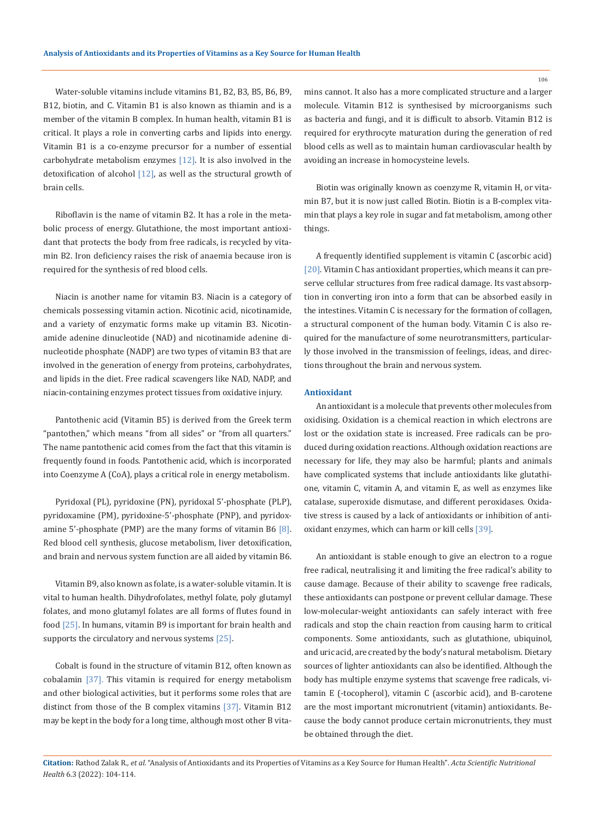Water-soluble vitamins include vitamins B1, B2, B3, B5, B6, B9, B12, biotin, and C. Vitamin B1 is also known as thiamin and is a member of the vitamin B complex. In human health, vitamin B1 is critical. It plays a role in converting carbs and lipids into energy. Vitamin B1 is a co-enzyme precursor for a number of essential carbohydrate metabolism enzymes  $[12]$ . It is also involved in the detoxification of alcohol  $[12]$ , as well as the structural growth of brain cells.

Riboflavin is the name of vitamin B2. It has a role in the metabolic process of energy. Glutathione, the most important antioxidant that protects the body from free radicals, is recycled by vitamin B2. Iron deficiency raises the risk of anaemia because iron is required for the synthesis of red blood cells.

Niacin is another name for vitamin B3. Niacin is a category of chemicals possessing vitamin action. Nicotinic acid, nicotinamide, and a variety of enzymatic forms make up vitamin B3. Nicotinamide adenine dinucleotide (NAD) and nicotinamide adenine dinucleotide phosphate (NADP) are two types of vitamin B3 that are involved in the generation of energy from proteins, carbohydrates, and lipids in the diet. Free radical scavengers like NAD, NADP, and niacin-containing enzymes protect tissues from oxidative injury.

Pantothenic acid (Vitamin B5) is derived from the Greek term "pantothen," which means "from all sides" or "from all quarters." The name pantothenic acid comes from the fact that this vitamin is frequently found in foods. Pantothenic acid, which is incorporated into Coenzyme A (CoA), plays a critical role in energy metabolism.

Pyridoxal (PL), pyridoxine (PN), pyridoxal 5'-phosphate (PLP), pyridoxamine (PM), pyridoxine-5'-phosphate (PNP), and pyridoxamine 5'-phosphate (PMP) are the many forms of vitamin B6  $[8]$ . Red blood cell synthesis, glucose metabolism, liver detoxification, and brain and nervous system function are all aided by vitamin B6.

Vitamin B9, also known as folate, is a water-soluble vitamin. It is vital to human health. Dihydrofolates, methyl folate, poly glutamyl folates, and mono glutamyl folates are all forms of flutes found in food [25]. In humans, vitamin B9 is important for brain health and supports the circulatory and nervous systems [25].

Cobalt is found in the structure of vitamin B12, often known as cobalamin [37]. This vitamin is required for energy metabolism and other biological activities, but it performs some roles that are distinct from those of the B complex vitamins [37]. Vitamin B12 may be kept in the body for a long time, although most other B vitamins cannot. It also has a more complicated structure and a larger molecule. Vitamin B12 is synthesised by microorganisms such as bacteria and fungi, and it is difficult to absorb. Vitamin B12 is required for erythrocyte maturation during the generation of red blood cells as well as to maintain human cardiovascular health by avoiding an increase in homocysteine levels.

Biotin was originally known as coenzyme R, vitamin H, or vitamin B7, but it is now just called Biotin. Biotin is a B-complex vitamin that plays a key role in sugar and fat metabolism, among other things.

A frequently identified supplement is vitamin C (ascorbic acid) [20]. Vitamin C has antioxidant properties, which means it can preserve cellular structures from free radical damage. Its vast absorption in converting iron into a form that can be absorbed easily in the intestines. Vitamin C is necessary for the formation of collagen, a structural component of the human body. Vitamin C is also required for the manufacture of some neurotransmitters, particularly those involved in the transmission of feelings, ideas, and directions throughout the brain and nervous system.

### **Antioxidant**

An antioxidant is a molecule that prevents other molecules from oxidising. Oxidation is a chemical reaction in which electrons are lost or the oxidation state is increased. Free radicals can be produced during oxidation reactions. Although oxidation reactions are necessary for life, they may also be harmful; plants and animals have complicated systems that include antioxidants like glutathione, vitamin C, vitamin A, and vitamin E, as well as enzymes like catalase, superoxide dismutase, and different peroxidases. Oxidative stress is caused by a lack of antioxidants or inhibition of antioxidant enzymes, which can harm or kill cells [39].

An antioxidant is stable enough to give an electron to a rogue free radical, neutralising it and limiting the free radical's ability to cause damage. Because of their ability to scavenge free radicals, these antioxidants can postpone or prevent cellular damage. These low-molecular-weight antioxidants can safely interact with free radicals and stop the chain reaction from causing harm to critical components. Some antioxidants, such as glutathione, ubiquinol, and uric acid, are created by the body's natural metabolism. Dietary sources of lighter antioxidants can also be identified. Although the body has multiple enzyme systems that scavenge free radicals, vitamin E (-tocopherol), vitamin C (ascorbic acid), and B-carotene are the most important micronutrient (vitamin) antioxidants. Because the body cannot produce certain micronutrients, they must be obtained through the diet.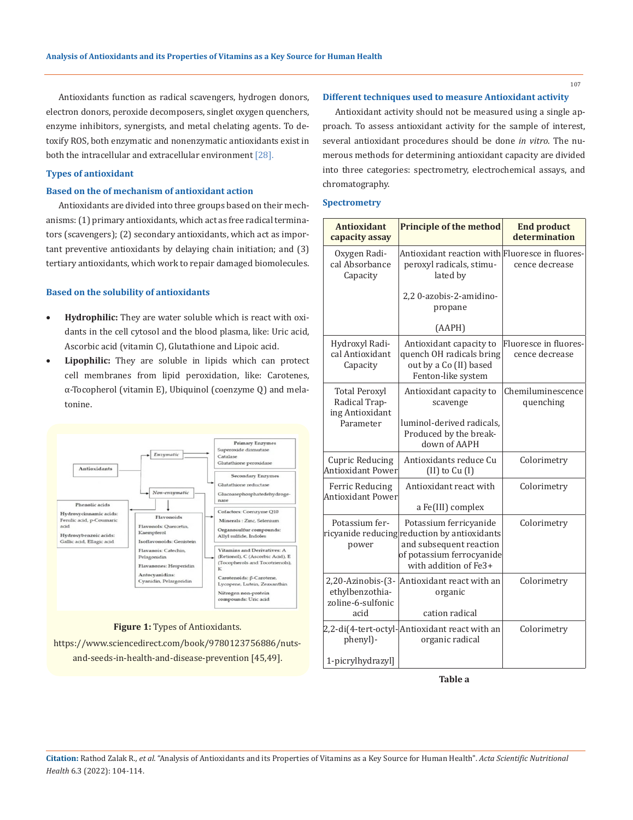Antioxidants function as radical scavengers, hydrogen donors, electron donors, peroxide decomposers, singlet oxygen quenchers, enzyme inhibitors, synergists, and metal chelating agents. To detoxify ROS, both enzymatic and nonenzymatic antioxidants exist in both the intracellular and extracellular environment [28].

#### **Types of antioxidant**

### **Based on the of mechanism of antioxidant action**

Antioxidants are divided into three groups based on their mechanisms: (1) primary antioxidants, which act as free radical terminators (scavengers); (2) secondary antioxidants, which act as important preventive antioxidants by delaying chain initiation; and (3) tertiary antioxidants, which work to repair damaged biomolecules.

#### **Based on the solubility of antioxidants**

- • **Hydrophilic:** They are water soluble which is react with oxidants in the cell cytosol and the blood plasma, like: Uric acid, Ascorbic acid (vitamin C), Glutathione and Lipoic acid.
- • **Lipophilic:** They are soluble in lipids which can protect cell membranes from lipid peroxidation, like: Carotenes, α-Tocopherol (vitamin E), Ubiquinol (coenzyme Q) and melatonine.



#### **Figure 1:** Types of Antioxidants.

https://www.sciencedirect.com/book/9780123756886/nutsand-seeds-in-health-and-disease-prevention [45,49].

#### **Different techniques used to measure Antioxidant activity**

Antioxidant activity should not be measured using a single approach. To assess antioxidant activity for the sample of interest, several antioxidant procedures should be done *in vitro*. The numerous methods for determining antioxidant capacity are divided into three categories: spectrometry, electrochemical assays, and chromatography.

#### **Spectrometry**

| <b>Antioxidant</b><br>capacity assay                              | <b>Principle of the method</b>                                                                                                                          | <b>End product</b><br>determination     |
|-------------------------------------------------------------------|---------------------------------------------------------------------------------------------------------------------------------------------------------|-----------------------------------------|
| Oxygen Radi-<br>cal Absorbance<br>Capacity                        | Antioxidant reaction with Fluoresce in fluores-<br>peroxyl radicals, stimu-<br>lated by                                                                 | cence decrease                          |
|                                                                   | 2,20-azobis-2-amidino-<br>propane                                                                                                                       |                                         |
|                                                                   | (AAPH)                                                                                                                                                  |                                         |
| Hydroxyl Radi-<br>cal Antioxidant<br>Capacity                     | Antioxidant capacity to<br>quench OH radicals bring<br>out by a Co (II) based<br>Fenton-like system                                                     | Fluoresce in fluores-<br>cence decrease |
| <b>Total Peroxyl</b><br>Radical Trap-<br>ing Antioxidant          | Antioxidant capacity to<br>scavenge                                                                                                                     | Chemiluminescence<br>quenching          |
| Parameter                                                         | luminol-derived radicals,<br>Produced by the break-<br>down of AAPH                                                                                     |                                         |
| <b>Cupric Reducing</b><br>Antioxidant Power                       | Antioxidants reduce Cu<br>$(II)$ to $Cu (I)$                                                                                                            | Colorimetry                             |
| Ferric Reducing<br><b>Antioxidant Power</b>                       | Antioxidant react with<br>a Fe(III) complex                                                                                                             | Colorimetry                             |
| Potassium fer-<br>power                                           | Potassium ferricyanide<br>ricyanide reducing reduction by antioxidants<br>and subsequent reaction<br>of potassium ferrocyanide<br>with addition of Fe3+ | Colorimetry                             |
| 2,20-Azinobis-(3-<br>ethylbenzothia-<br>zoline-6-sulfonic<br>acid | Antioxidant react with an<br>organic<br>cation radical                                                                                                  | Colorimetry                             |
| phenyl)-                                                          | 2,2-di(4-tert-octyl- Antioxidant react with an<br>organic radical                                                                                       | Colorimetry                             |
| 1-picrylhydrazyl]                                                 |                                                                                                                                                         |                                         |

**Table a**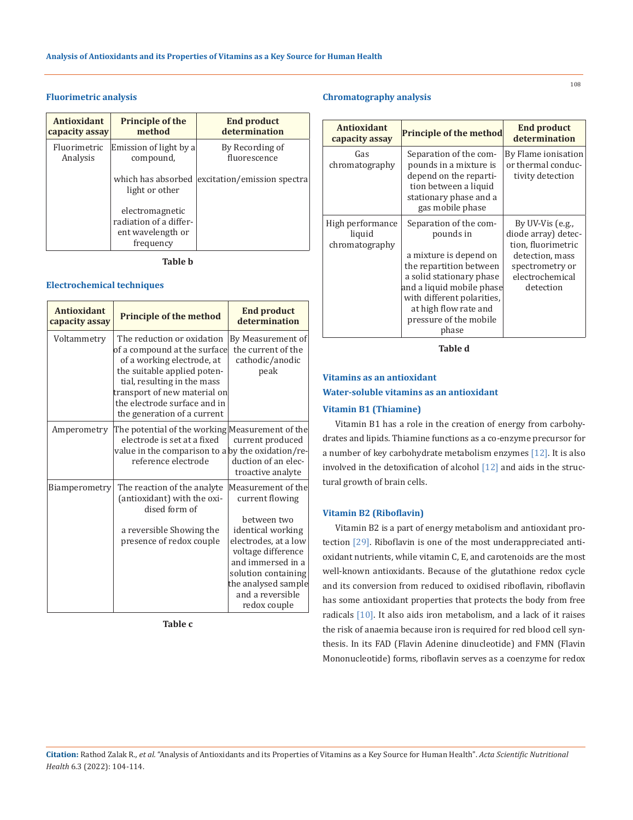## **Fluorimetric analysis**

| Antioxidant    | <b>Principle of the</b>                                                     | <b>End product</b>          |
|----------------|-----------------------------------------------------------------------------|-----------------------------|
| capacity assay | method                                                                      | determination               |
| Fluorimetric   | Emission of light by a                                                      | By Recording of             |
| Analysis       | compound,                                                                   | fluorescence                |
|                | which has absorbed<br>light or other                                        | excitation/emission spectra |
|                | electromagnetic<br>radiation of a differ-<br>ent wavelength or<br>frequency |                             |

**Table b**

## **Electrochemical techniques**

| <b>Antioxidant</b><br>capacity assay | <b>Principle of the method</b>                                                                                                                                                                                                                        | <b>End product</b><br>determination                                                                                                                                                                                            |
|--------------------------------------|-------------------------------------------------------------------------------------------------------------------------------------------------------------------------------------------------------------------------------------------------------|--------------------------------------------------------------------------------------------------------------------------------------------------------------------------------------------------------------------------------|
| Voltammetry                          | The reduction or oxidation<br>of a compound at the surface<br>of a working electrode, at<br>the suitable applied poten-<br>tial, resulting in the mass<br>transport of new material on<br>the electrode surface and in<br>the generation of a current | By Measurement of<br>the current of the<br>cathodic/anodic<br>peak                                                                                                                                                             |
| Amperometry                          | The potential of the working Measurement of the<br>electrode is set at a fixed<br>value in the comparison to a by the oxidation/re-<br>reference electrode                                                                                            | current produced<br>duction of an elec-<br>troactive analyte                                                                                                                                                                   |
| Biamperometry                        | The reaction of the analyte<br>(antioxidant) with the oxi-<br>dised form of<br>a reversible Showing the<br>presence of redox couple                                                                                                                   | Measurement of the<br>current flowing<br>between two<br>identical working<br>electrodes, at a low<br>voltage difference<br>and immersed in a<br>solution containing<br>the analysed sample<br>and a reversible<br>redox couple |

**Table c**

### **Chromatography analysis**

| <b>Antioxidant</b><br>capacity assay         | <b>Principle of the method</b>                                                                                                                                                                                                              | <b>End product</b><br>determination                                                                                                   |
|----------------------------------------------|---------------------------------------------------------------------------------------------------------------------------------------------------------------------------------------------------------------------------------------------|---------------------------------------------------------------------------------------------------------------------------------------|
| Gas<br>chromatography                        | Separation of the com-<br>pounds in a mixture is<br>depend on the reparti-<br>tion between a liquid<br>stationary phase and a<br>gas mobile phase                                                                                           | By Flame ionisation<br>or thermal conduc-<br>tivity detection                                                                         |
| High performance<br>liquid<br>chromatography | Separation of the com-<br>pounds in<br>a mixture is depend on<br>the repartition between<br>a solid stationary phase<br>and a liquid mobile phase<br>with different polarities,<br>at high flow rate and<br>pressure of the mobile<br>phase | By UV-Vis $(e.g.,$<br>diode array) detec-<br>tion, fluorimetric<br>detection, mass<br>spectrometry or<br>electrochemical<br>detection |

**Table d**

# **Vitamins as an antioxidant Water-soluble vitamins as an antioxidant**

#### **Vitamin B1 (Thiamine)**

Vitamin B1 has a role in the creation of energy from carbohydrates and lipids. Thiamine functions as a co-enzyme precursor for a number of key carbohydrate metabolism enzymes [12]. It is also involved in the detoxification of alcohol [12] and aids in the structural growth of brain cells.

## **Vitamin B2 (Riboflavin)**

Vitamin B2 is a part of energy metabolism and antioxidant protection [29]. Riboflavin is one of the most underappreciated antioxidant nutrients, while vitamin C, E, and carotenoids are the most well-known antioxidants. Because of the glutathione redox cycle and its conversion from reduced to oxidised riboflavin, riboflavin has some antioxidant properties that protects the body from free radicals [10]. It also aids iron metabolism, and a lack of it raises the risk of anaemia because iron is required for red blood cell synthesis. In its FAD (Flavin Adenine dinucleotide) and FMN (Flavin Mononucleotide) forms, riboflavin serves as a coenzyme for redox

**Citation:** Rathod Zalak R*., et al.* "Analysis of Antioxidants and its Properties of Vitamins as a Key Source for Human Health". *Acta Scientific Nutritional Health* 6.3 (2022): 104-114.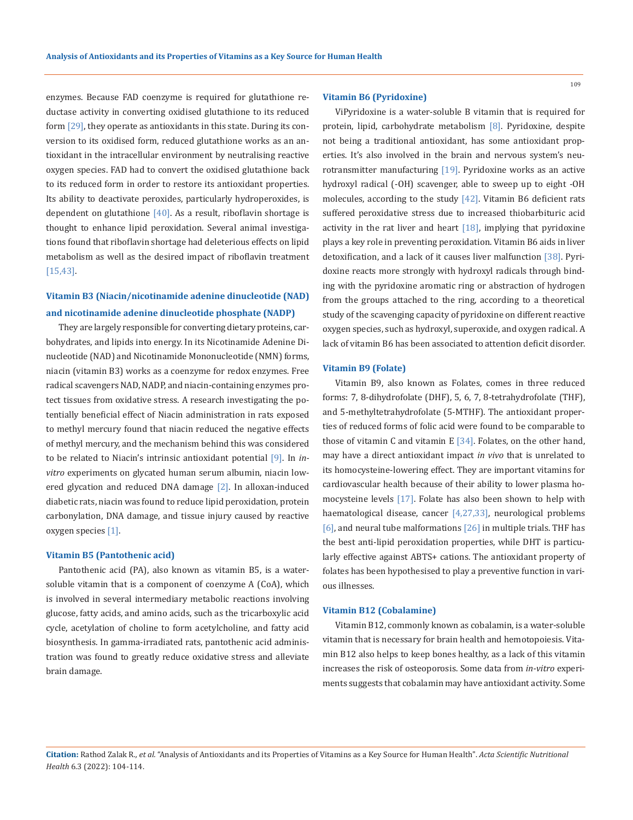enzymes. Because FAD coenzyme is required for glutathione reductase activity in converting oxidised glutathione to its reduced form [29], they operate as antioxidants in this state. During its conversion to its oxidised form, reduced glutathione works as an antioxidant in the intracellular environment by neutralising reactive oxygen species. FAD had to convert the oxidised glutathione back to its reduced form in order to restore its antioxidant properties. Its ability to deactivate peroxides, particularly hydroperoxides, is dependent on glutathione  $[40]$ . As a result, riboflavin shortage is thought to enhance lipid peroxidation. Several animal investigations found that riboflavin shortage had deleterious effects on lipid metabolism as well as the desired impact of riboflavin treatment [15,43].

# **Vitamin B3 (Niacin/nicotinamide adenine dinucleotide (NAD) and nicotinamide adenine dinucleotide phosphate (NADP)**

They are largely responsible for converting dietary proteins, carbohydrates, and lipids into energy. In its Nicotinamide Adenine Dinucleotide (NAD) and Nicotinamide Mononucleotide (NMN) forms, niacin (vitamin B3) works as a coenzyme for redox enzymes. Free radical scavengers NAD, NADP, and niacin-containing enzymes protect tissues from oxidative stress. A research investigating the potentially beneficial effect of Niacin administration in rats exposed to methyl mercury found that niacin reduced the negative effects of methyl mercury, and the mechanism behind this was considered to be related to Niacin's intrinsic antioxidant potential [9]. In *invitro* experiments on glycated human serum albumin, niacin lowered glycation and reduced DNA damage [2]. In alloxan-induced diabetic rats, niacin was found to reduce lipid peroxidation, protein carbonylation, DNA damage, and tissue injury caused by reactive oxygen species [1].

### **Vitamin B5 (Pantothenic acid)**

Pantothenic acid (PA), also known as vitamin B5, is a watersoluble vitamin that is a component of coenzyme A (CoA), which is involved in several intermediary metabolic reactions involving glucose, fatty acids, and amino acids, such as the tricarboxylic acid cycle, acetylation of choline to form acetylcholine, and fatty acid biosynthesis. In gamma-irradiated rats, pantothenic acid administration was found to greatly reduce oxidative stress and alleviate brain damage.

#### **Vitamin B6 (Pyridoxine)**

ViPyridoxine is a water-soluble B vitamin that is required for protein, lipid, carbohydrate metabolism [8]. Pyridoxine, despite not being a traditional antioxidant, has some antioxidant properties. It's also involved in the brain and nervous system's neurotransmitter manufacturing [19]. Pyridoxine works as an active hydroxyl radical (-OH) scavenger, able to sweep up to eight -OH molecules, according to the study [42]. Vitamin B6 deficient rats suffered peroxidative stress due to increased thiobarbituric acid activity in the rat liver and heart  $[18]$ , implying that pyridoxine plays a key role in preventing peroxidation. Vitamin B6 aids in liver detoxification, and a lack of it causes liver malfunction [38]. Pyridoxine reacts more strongly with hydroxyl radicals through binding with the pyridoxine aromatic ring or abstraction of hydrogen from the groups attached to the ring, according to a theoretical study of the scavenging capacity of pyridoxine on different reactive oxygen species, such as hydroxyl, superoxide, and oxygen radical. A lack of vitamin B6 has been associated to attention deficit disorder.

### **Vitamin B9 (Folate)**

Vitamin B9, also known as Folates, comes in three reduced forms: 7, 8-dihydrofolate (DHF), 5, 6, 7, 8-tetrahydrofolate (THF), and 5-methyltetrahydrofolate (5-MTHF). The antioxidant properties of reduced forms of folic acid were found to be comparable to those of vitamin C and vitamin E [34]. Folates, on the other hand, may have a direct antioxidant impact *in vivo* that is unrelated to its homocysteine-lowering effect. They are important vitamins for cardiovascular health because of their ability to lower plasma homocysteine levels [17]. Folate has also been shown to help with haematological disease, cancer [4,27,33], neurological problems [6], and neural tube malformations [26] in multiple trials. THF has the best anti-lipid peroxidation properties, while DHT is particularly effective against ABTS+ cations. The antioxidant property of folates has been hypothesised to play a preventive function in various illnesses.

#### **Vitamin B12 (Cobalamine)**

Vitamin B12, commonly known as cobalamin, is a water-soluble vitamin that is necessary for brain health and hemotopoiesis. Vitamin B12 also helps to keep bones healthy, as a lack of this vitamin increases the risk of osteoporosis. Some data from *in-vitro* experiments suggests that cobalamin may have antioxidant activity. Some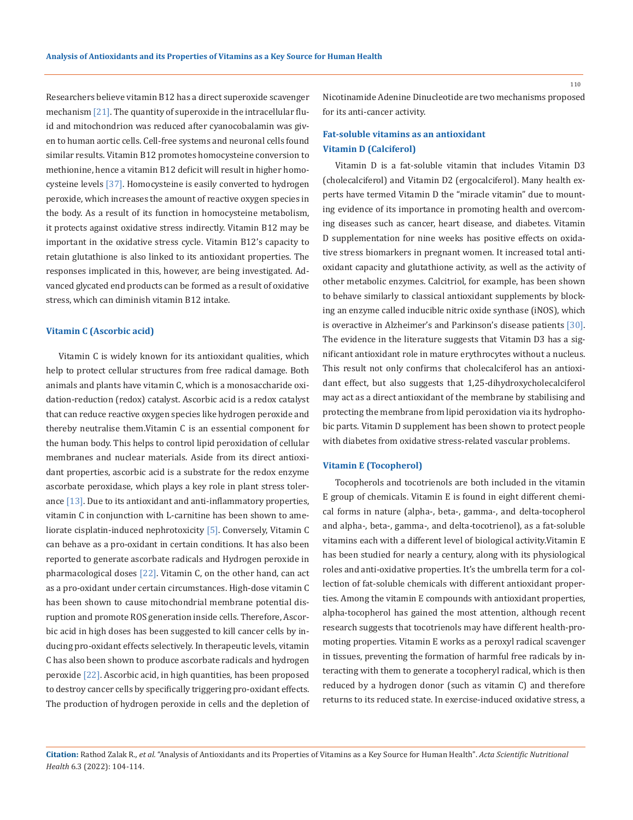Researchers believe vitamin B12 has a direct superoxide scavenger mechanism [21]. The quantity of superoxide in the intracellular fluid and mitochondrion was reduced after cyanocobalamin was given to human aortic cells. Cell-free systems and neuronal cells found similar results. Vitamin B12 promotes homocysteine conversion to methionine, hence a vitamin B12 deficit will result in higher homocysteine levels [37]. Homocysteine is easily converted to hydrogen peroxide, which increases the amount of reactive oxygen species in the body. As a result of its function in homocysteine metabolism, it protects against oxidative stress indirectly. Vitamin B12 may be important in the oxidative stress cycle. Vitamin B12's capacity to retain glutathione is also linked to its antioxidant properties. The responses implicated in this, however, are being investigated. Advanced glycated end products can be formed as a result of oxidative stress, which can diminish vitamin B12 intake.

## **Vitamin C (Ascorbic acid)**

Vitamin C is widely known for its antioxidant qualities, which help to protect cellular structures from free radical damage. Both animals and plants have vitamin C, which is a monosaccharide oxidation-reduction (redox) catalyst. Ascorbic acid is a redox catalyst that can reduce reactive oxygen species like hydrogen peroxide and thereby neutralise them.Vitamin C is an essential component for the human body. This helps to control lipid peroxidation of cellular membranes and nuclear materials. Aside from its direct antioxidant properties, ascorbic acid is a substrate for the redox enzyme ascorbate peroxidase, which plays a key role in plant stress tolerance  $[13]$ . Due to its antioxidant and anti-inflammatory properties, vitamin C in conjunction with L-carnitine has been shown to ameliorate cisplatin-induced nephrotoxicity [5]. Conversely, Vitamin C can behave as a pro-oxidant in certain conditions. It has also been reported to generate ascorbate radicals and Hydrogen peroxide in pharmacological doses  $[22]$ . Vitamin C, on the other hand, can act as a pro-oxidant under certain circumstances. High-dose vitamin C has been shown to cause mitochondrial membrane potential disruption and promote ROS generation inside cells. Therefore, Ascorbic acid in high doses has been suggested to kill cancer cells by inducing pro-oxidant effects selectively. In therapeutic levels, vitamin C has also been shown to produce ascorbate radicals and hydrogen peroxide [22]. Ascorbic acid, in high quantities, has been proposed to destroy cancer cells by specifically triggering pro-oxidant effects. The production of hydrogen peroxide in cells and the depletion of Nicotinamide Adenine Dinucleotide are two mechanisms proposed for its anti-cancer activity.

## **Fat-soluble vitamins as an antioxidant Vitamin D (Calciferol)**

Vitamin D is a fat-soluble vitamin that includes Vitamin D3 (cholecalciferol) and Vitamin D2 (ergocalciferol). Many health experts have termed Vitamin D the "miracle vitamin" due to mounting evidence of its importance in promoting health and overcoming diseases such as cancer, heart disease, and diabetes. Vitamin D supplementation for nine weeks has positive effects on oxidative stress biomarkers in pregnant women. It increased total antioxidant capacity and glutathione activity, as well as the activity of other metabolic enzymes. Calcitriol, for example, has been shown to behave similarly to classical antioxidant supplements by blocking an enzyme called inducible nitric oxide synthase (iNOS), which is overactive in Alzheimer's and Parkinson's disease patients [30]. The evidence in the literature suggests that Vitamin D3 has a significant antioxidant role in mature erythrocytes without a nucleus. This result not only confirms that cholecalciferol has an antioxidant effect, but also suggests that 1,25-dihydroxycholecalciferol may act as a direct antioxidant of the membrane by stabilising and protecting the membrane from lipid peroxidation via its hydrophobic parts. Vitamin D supplement has been shown to protect people with diabetes from oxidative stress-related vascular problems.

#### **Vitamin E (Tocopherol)**

Tocopherols and tocotrienols are both included in the vitamin E group of chemicals. Vitamin E is found in eight different chemical forms in nature (alpha-, beta-, gamma-, and delta-tocopherol and alpha-, beta-, gamma-, and delta-tocotrienol), as a fat-soluble vitamins each with a different level of biological activity.Vitamin E has been studied for nearly a century, along with its physiological roles and anti-oxidative properties. It's the umbrella term for a collection of fat-soluble chemicals with different antioxidant properties. Among the vitamin E compounds with antioxidant properties, alpha-tocopherol has gained the most attention, although recent research suggests that tocotrienols may have different health-promoting properties. Vitamin E works as a peroxyl radical scavenger in tissues, preventing the formation of harmful free radicals by interacting with them to generate a tocopheryl radical, which is then reduced by a hydrogen donor (such as vitamin C) and therefore returns to its reduced state. In exercise-induced oxidative stress, a

**Citation:** Rathod Zalak R*., et al.* "Analysis of Antioxidants and its Properties of Vitamins as a Key Source for Human Health". *Acta Scientific Nutritional Health* 6.3 (2022): 104-114.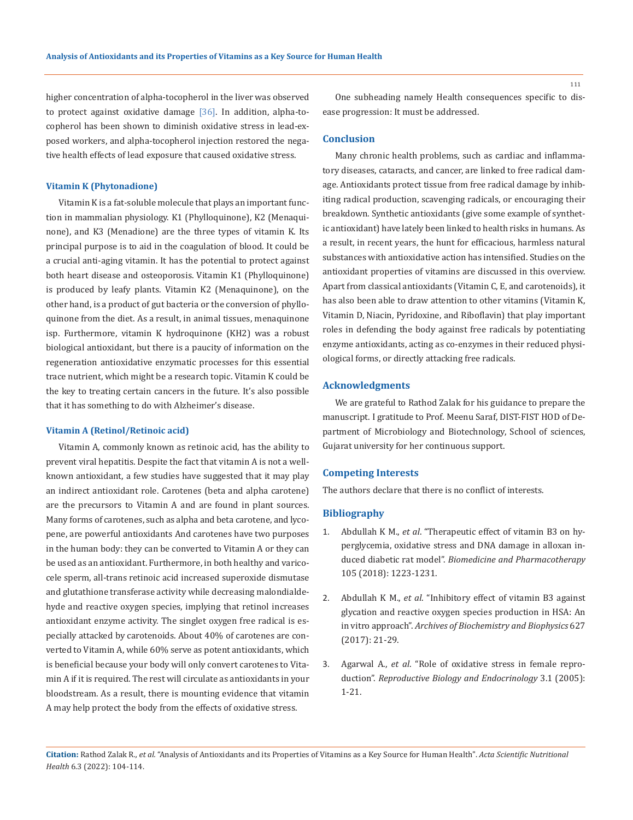higher concentration of alpha-tocopherol in the liver was observed to protect against oxidative damage [36]. In addition, alpha-tocopherol has been shown to diminish oxidative stress in lead-exposed workers, and alpha-tocopherol injection restored the negative health effects of lead exposure that caused oxidative stress.

#### **Vitamin K (Phytonadione)**

Vitamin K is a fat-soluble molecule that plays an important function in mammalian physiology. K1 (Phylloquinone), K2 (Menaquinone), and K3 (Menadione) are the three types of vitamin K. Its principal purpose is to aid in the coagulation of blood. It could be a crucial anti-aging vitamin. It has the potential to protect against both heart disease and osteoporosis. Vitamin K1 (Phylloquinone) is produced by leafy plants. Vitamin K2 (Menaquinone), on the other hand, is a product of gut bacteria or the conversion of phylloquinone from the diet. As a result, in animal tissues, menaquinone isp. Furthermore, vitamin K hydroquinone (KH2) was a robust biological antioxidant, but there is a paucity of information on the regeneration antioxidative enzymatic processes for this essential trace nutrient, which might be a research topic. Vitamin K could be the key to treating certain cancers in the future. It's also possible that it has something to do with Alzheimer's disease.

#### **Vitamin A (Retinol/Retinoic acid)**

Vitamin A, commonly known as retinoic acid, has the ability to prevent viral hepatitis. Despite the fact that vitamin A is not a wellknown antioxidant, a few studies have suggested that it may play an indirect antioxidant role. Carotenes (beta and alpha carotene) are the precursors to Vitamin A and are found in plant sources. Many forms of carotenes, such as alpha and beta carotene, and lycopene, are powerful antioxidants And carotenes have two purposes in the human body: they can be converted to Vitamin A or they can be used as an antioxidant. Furthermore, in both healthy and varicocele sperm, all-trans retinoic acid increased superoxide dismutase and glutathione transferase activity while decreasing malondialdehyde and reactive oxygen species, implying that retinol increases antioxidant enzyme activity. The singlet oxygen free radical is especially attacked by carotenoids. About 40% of carotenes are converted to Vitamin A, while 60% serve as potent antioxidants, which is beneficial because your body will only convert carotenes to Vitamin A if it is required. The rest will circulate as antioxidants in your bloodstream. As a result, there is mounting evidence that vitamin A may help protect the body from the effects of oxidative stress.

One subheading namely Health consequences specific to disease progression: It must be addressed.

#### **Conclusion**

Many chronic health problems, such as cardiac and inflammatory diseases, cataracts, and cancer, are linked to free radical damage. Antioxidants protect tissue from free radical damage by inhibiting radical production, scavenging radicals, or encouraging their breakdown. Synthetic antioxidants (give some example of synthetic antioxidant) have lately been linked to health risks in humans. As a result, in recent years, the hunt for efficacious, harmless natural substances with antioxidative action has intensified. Studies on the antioxidant properties of vitamins are discussed in this overview. Apart from classical antioxidants (Vitamin C, E, and carotenoids), it has also been able to draw attention to other vitamins (Vitamin K, Vitamin D, Niacin, Pyridoxine, and Riboflavin) that play important roles in defending the body against free radicals by potentiating enzyme antioxidants, acting as co-enzymes in their reduced physiological forms, or directly attacking free radicals.

### **Acknowledgments**

We are grateful to Rathod Zalak for his guidance to prepare the manuscript. I gratitude to Prof. Meenu Saraf, DIST-FIST HOD of Department of Microbiology and Biotechnology, School of sciences, Gujarat university for her continuous support.

#### **Competing Interests**

The authors declare that there is no conflict of interests.

## **Bibliography**

- 1. Abdullah K M., *et al*[. "Therapeutic effect of vitamin B3 on hy](https://pubmed.ncbi.nlm.nih.gov/30021358/)[perglycemia, oxidative stress and DNA damage in alloxan in](https://pubmed.ncbi.nlm.nih.gov/30021358/)duced diabetic rat model". *[Biomedicine and Pharmacotherapy](https://pubmed.ncbi.nlm.nih.gov/30021358/)* [105 \(2018\): 1223-1231.](https://pubmed.ncbi.nlm.nih.gov/30021358/)
- 2. Abdullah K M., *et al*. "Inhibitory effect of vitamin B3 against glycation and reactive oxygen species production in HSA: An in vitro approach". *Archives of Biochemistry and Biophysics* 627 (2017): 21-29.
- 3. Agarwal A., *et al*. "Role of oxidative stress in female reproduction". *Reproductive Biology and Endocrinology* 3.1 (2005): 1-21.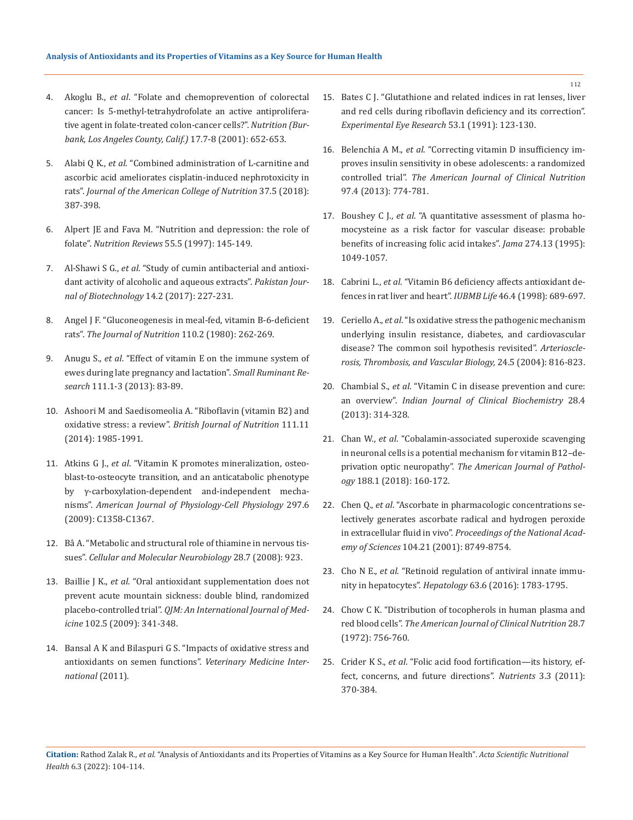- 4. Akoglu B., *et al*[. "Folate and chemoprevention of colorectal](https://pubmed.ncbi.nlm.nih.gov/11448589/)  [cancer: Is 5-methyl-tetrahydrofolate an active antiprolifera](https://pubmed.ncbi.nlm.nih.gov/11448589/)[tive agent in folate-treated colon-cancer cells?".](https://pubmed.ncbi.nlm.nih.gov/11448589/) *Nutrition (Bur[bank, Los Angeles County, Calif.\)](https://pubmed.ncbi.nlm.nih.gov/11448589/)* 17.7-8 (2001): 652-653.
- 5. Alabi Q K., *et al*. "Combined administration of L-carnitine and ascorbic acid ameliorates cisplatin-induced nephrotoxicity in rats". *Journal of the American College of Nutrition* 37.5 (2018): 387-398.
- 6. [Alpert JE and Fava M. "Nutrition and depression: the role of](https://pubmed.ncbi.nlm.nih.gov/9212690/)  folate". *Nutrition Reviews* [55.5 \(1997\): 145-149.](https://pubmed.ncbi.nlm.nih.gov/9212690/)
- 7. Al-Shawi S G., *et al*[. "Study of cumin antibacterial and antioxi](C://Users/ActaProof/Downloads/17-Study+of+Cumin+Antibacterial+and+Antioxidant+activity.pdf)[dant activity of alcoholic and aqueous extracts".](C://Users/ActaProof/Downloads/17-Study+of+Cumin+Antibacterial+and+Antioxidant+activity.pdf) *Pakistan Jour[nal of Biotechnology](C://Users/ActaProof/Downloads/17-Study+of+Cumin+Antibacterial+and+Antioxidant+activity.pdf)* 14.2 (2017): 227-231.
- 8. [Angel J F. "Gluconeogenesis in meal-fed, vitamin B-6-deficient](https://pubmed.ncbi.nlm.nih.gov/7354397/)  rats". *[The Journal of Nutrition](https://pubmed.ncbi.nlm.nih.gov/7354397/)* 110.2 (1980): 262-269.
- 9. Anugu S., *et al*[. "Effect of vitamin E on the immune system of](https://www.sciencedirect.com/science/article/abs/pii/S0921448812004579)  [ewes during late pregnancy and lactation".](https://www.sciencedirect.com/science/article/abs/pii/S0921448812004579) *Small Ruminant Research* [111.1-3 \(2013\): 83-89.](https://www.sciencedirect.com/science/article/abs/pii/S0921448812004579)
- 10. [Ashoori M and Saedisomeolia A. "Riboflavin \(vitamin B2\) and](https://pubmed.ncbi.nlm.nih.gov/24650639/)  oxidative stress: a review". *[British Journal of Nutrition](https://pubmed.ncbi.nlm.nih.gov/24650639/)* 111.11 [\(2014\): 1985-1991.](https://pubmed.ncbi.nlm.nih.gov/24650639/)
- 11. Atkins G J., *et al*[. "Vitamin K promotes mineralization, osteo](https://pubmed.ncbi.nlm.nih.gov/19675304/)[blast-to-osteocyte transition, and an anticatabolic phenotype](https://pubmed.ncbi.nlm.nih.gov/19675304/)  [by γ-carboxylation-dependent and-independent mecha](https://pubmed.ncbi.nlm.nih.gov/19675304/)nisms". *[American Journal of Physiology-Cell Physiology](https://pubmed.ncbi.nlm.nih.gov/19675304/)* 297.6 [\(2009\): C1358-C1367.](https://pubmed.ncbi.nlm.nih.gov/19675304/)
- 12. Bâ A. "Metabolic and structural role of thiamine in nervous tissues". *Cellular and Molecular Neurobiology* 28.7 (2008): 923.
- 13. Baillie J K., *et al*. "Oral antioxidant supplementation does not prevent acute mountain sickness: double blind, randomized placebo-controlled trial". *QJM: An International Journal of Medicine* 102.5 (2009): 341-348.
- 14. [Bansal A K and Bilaspuri G S. "Impacts of oxidative stress and](https://www.hindawi.com/journals/vmi/2011/686137/?utm_source=google&utm_medium=cpc&utm_campaign=HDW_MRKT_GBL_SUB_ADWO_PAI_DYNA_JOUR_X_PJ&gclid=CjwKCAiA6seQBhAfEiwAvPqu1_oafVttcplk3uaCesA1-7OaRaNdLF39r39Fd50b7IIsnyxgZpkY7BoCJCUQAvD_BwE)  [antioxidants on semen functions".](https://www.hindawi.com/journals/vmi/2011/686137/?utm_source=google&utm_medium=cpc&utm_campaign=HDW_MRKT_GBL_SUB_ADWO_PAI_DYNA_JOUR_X_PJ&gclid=CjwKCAiA6seQBhAfEiwAvPqu1_oafVttcplk3uaCesA1-7OaRaNdLF39r39Fd50b7IIsnyxgZpkY7BoCJCUQAvD_BwE) *Veterinary Medicine Inter[national](https://www.hindawi.com/journals/vmi/2011/686137/?utm_source=google&utm_medium=cpc&utm_campaign=HDW_MRKT_GBL_SUB_ADWO_PAI_DYNA_JOUR_X_PJ&gclid=CjwKCAiA6seQBhAfEiwAvPqu1_oafVttcplk3uaCesA1-7OaRaNdLF39r39Fd50b7IIsnyxgZpkY7BoCJCUQAvD_BwE)* (2011).
- 15. [Bates C J. "Glutathione and related indices in rat lenses, liver](https://pubmed.ncbi.nlm.nih.gov/1879496/)  [and red cells during riboflavin deficiency and its correction".](https://pubmed.ncbi.nlm.nih.gov/1879496/)  *[Experimental Eye Research](https://pubmed.ncbi.nlm.nih.gov/1879496/)* 53.1 (1991): 123-130.
- 16. Belenchia A M., *et al*[. "Correcting vitamin D insufficiency im](https://pubmed.ncbi.nlm.nih.gov/23407306/)[proves insulin sensitivity in obese adolescents: a randomized](https://pubmed.ncbi.nlm.nih.gov/23407306/)  controlled trial". *[The American Journal of Clinical Nutrition](https://pubmed.ncbi.nlm.nih.gov/23407306/)* [97.4 \(2013\): 774-781.](https://pubmed.ncbi.nlm.nih.gov/23407306/)
- 17. Boushey C J., *et al*[. "A quantitative assessment of plasma ho](https://pubmed.ncbi.nlm.nih.gov/7563456/)[mocysteine as a risk factor for vascular disease: probable](https://pubmed.ncbi.nlm.nih.gov/7563456/)  [benefits of increasing folic acid intakes".](https://pubmed.ncbi.nlm.nih.gov/7563456/) *Jama* 274.13 (1995): [1049-1057.](https://pubmed.ncbi.nlm.nih.gov/7563456/)
- 18. Cabrini L., *et al*. "Vitamin B6 deficiency affects antioxidant defences in rat liver and heart". *IUBMB Life* 46.4 (1998): 689-697.
- 19. Ceriello A., *et al*[. "Is oxidative stress the pathogenic mechanism](https://pubmed.ncbi.nlm.nih.gov/14976002/)  [underlying insulin resistance, diabetes, and cardiovascular](https://pubmed.ncbi.nlm.nih.gov/14976002/)  [disease? The common soil hypothesis revisited".](https://pubmed.ncbi.nlm.nih.gov/14976002/) *Arterioscle[rosis, Thrombosis, and Vascular Biology,](https://pubmed.ncbi.nlm.nih.gov/14976002/)* 24.5 (2004): 816-823.
- 20. Chambial S., *et al*[. "Vitamin C in disease prevention and cure:](https://www.ncbi.nlm.nih.gov/pmc/articles/PMC3783921/)  an overview". *[Indian Journal of Clinical Biochemistry](https://www.ncbi.nlm.nih.gov/pmc/articles/PMC3783921/)* 28.4 [\(2013\): 314-328.](https://www.ncbi.nlm.nih.gov/pmc/articles/PMC3783921/)
- 21. Chan W., *et al*[. "Cobalamin-associated superoxide scavenging](https://pubmed.ncbi.nlm.nih.gov/29037851/)  [in neuronal cells is a potential mechanism for vitamin B12–de](https://pubmed.ncbi.nlm.nih.gov/29037851/)privation optic neuropathy". *[The American Journal of Pathol](https://pubmed.ncbi.nlm.nih.gov/29037851/)ogy* [188.1 \(2018\): 160-172.](https://pubmed.ncbi.nlm.nih.gov/29037851/)
- 22. Chen Q., *et al*[. "Ascorbate in pharmacologic concentrations se](https://pubmed.ncbi.nlm.nih.gov/17502596/)[lectively generates ascorbate radical and hydrogen peroxide](https://pubmed.ncbi.nlm.nih.gov/17502596/)  in extracellular fluid in vivo". *[Proceedings of the National Acad](https://pubmed.ncbi.nlm.nih.gov/17502596/)emy of Sciences* [104.21 \(2001\): 8749-8754.](https://pubmed.ncbi.nlm.nih.gov/17502596/)
- 23. Cho N E., *et al*[. "Retinoid regulation of antiviral innate immu](https://pubmed.ncbi.nlm.nih.gov/26638120/)nity in hepatocytes". *Hepatology* [63.6 \(2016\): 1783-1795.](https://pubmed.ncbi.nlm.nih.gov/26638120/)
- 24. Chow C K. "Distribution of tocopherols in human plasma and red blood cells". *The American Journal of Clinical Nutrition* 28.7 (1972): 756-760.
- 25. Crider K S., *et al*[. "Folic acid food fortification—its history, ef](https://www.ncbi.nlm.nih.gov/pmc/articles/PMC3257747/)[fect, concerns, and future directions".](https://www.ncbi.nlm.nih.gov/pmc/articles/PMC3257747/) *Nutrients* 3.3 (2011): [370-384.](https://www.ncbi.nlm.nih.gov/pmc/articles/PMC3257747/)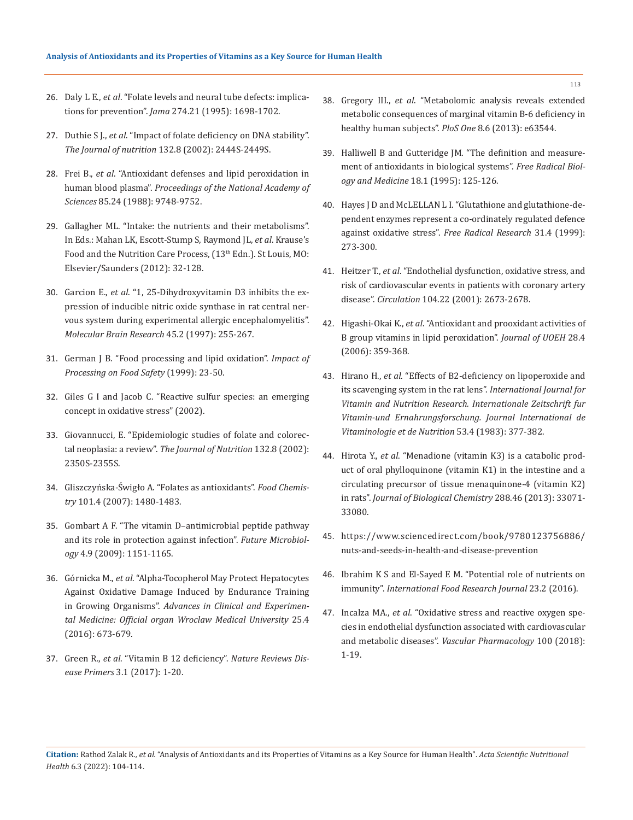- 26. Daly L E., *et al*[. "Folate levels and neural tube defects: implica](https://pubmed.ncbi.nlm.nih.gov/7474275/)tions for prevention". *Jama* [274.21 \(1995\): 1698-1702.](https://pubmed.ncbi.nlm.nih.gov/7474275/)
- 27. Duthie S J., *et al*. "Impact of folate deficiency on DNA stability". *The Journal of nutrition* 132.8 (2002): 2444S-2449S.
- 28. Frei B., *et al*[. "Antioxidant defenses and lipid peroxidation in](https://pubmed.ncbi.nlm.nih.gov/3200852/)  human blood plasma". *[Proceedings of the National Academy of](https://pubmed.ncbi.nlm.nih.gov/3200852/)  Sciences* [85.24 \(1988\): 9748-9752.](https://pubmed.ncbi.nlm.nih.gov/3200852/)
- 29. Gallagher ML. "Intake: the nutrients and their metabolisms". In Eds.: Mahan LK, Escott-Stump S, Raymond JL, *et al*. Krause's Food and the Nutrition Care Process, (13<sup>th</sup> Edn.). St Louis, MO: Elsevier/Saunders (2012): 32-128.
- 30. Garcion E., *et al*[. "1, 25-Dihydroxyvitamin D3 inhibits the ex](https://pubmed.ncbi.nlm.nih.gov/9149100/)[pression of inducible nitric oxide synthase in rat central ner](https://pubmed.ncbi.nlm.nih.gov/9149100/)[vous system during experimental allergic encephalomyelitis".](https://pubmed.ncbi.nlm.nih.gov/9149100/)  *[Molecular Brain Research](https://pubmed.ncbi.nlm.nih.gov/9149100/)* 45.2 (1997): 255-267.
- 31. [German J B. "Food processing and lipid oxidation".](https://pubmed.ncbi.nlm.nih.gov/10335367/) *Impact of [Processing on Food Safety](https://pubmed.ncbi.nlm.nih.gov/10335367/)* (1999): 23-50.
- 32. Giles G I and Jacob C. "Reactive sulfur species: an emerging concept in oxidative stress" (2002).
- 33. Giovannucci, E. "Epidemiologic studies of folate and colorectal neoplasia: a review". *The Journal of Nutrition* 132.8 (2002): 2350S-2355S.
- 34. [Gliszczyńska-Świgło A. "Folates as antioxidants".](https://www.sciencedirect.com/science/article/abs/pii/S0308814606003049) *Food Chemistry* [101.4 \(2007\): 1480-1483.](https://www.sciencedirect.com/science/article/abs/pii/S0308814606003049)
- 35. [Gombart A F. "The vitamin D–antimicrobial peptide pathway](https://www.ncbi.nlm.nih.gov/pmc/articles/PMC2821804/)  [and its role in protection against infection".](https://www.ncbi.nlm.nih.gov/pmc/articles/PMC2821804/) *Future Microbiology* [4.9 \(2009\): 1151-1165.](https://www.ncbi.nlm.nih.gov/pmc/articles/PMC2821804/)
- 36. Górnicka M., *et al*. "Alpha-Tocopherol May Protect Hepatocytes Against Oxidative Damage Induced by Endurance Training in Growing Organisms". *Advances in Clinical and Experimental Medicine: Official organ Wroclaw Medical University* 25.4 (2016): 673-679.
- 37. Green R., *et al*[. "Vitamin B 12 deficiency".](https://pubmed.ncbi.nlm.nih.gov/28660890/) *Nature Reviews Disease Primers* [3.1 \(2017\): 1-20.](https://pubmed.ncbi.nlm.nih.gov/28660890/)
- 38. Gregory III., *et al*[. "Metabolomic analysis reveals extended](https://journals.plos.org/plosone/article?id=10.1371/journal.pone.0063544)  [metabolic consequences of marginal vitamin B-6 deficiency in](https://journals.plos.org/plosone/article?id=10.1371/journal.pone.0063544)  [healthy human subjects".](https://journals.plos.org/plosone/article?id=10.1371/journal.pone.0063544) *PloS One* 8.6 (2013): e63544.
- 39. [Halliwell B and Gutteridge JM. "The definition and measure](https://pubmed.ncbi.nlm.nih.gov/7896166/)[ment of antioxidants in biological systems".](https://pubmed.ncbi.nlm.nih.gov/7896166/) *Free Radical Biology and Medicine* [18.1 \(1995\): 125-126.](https://pubmed.ncbi.nlm.nih.gov/7896166/)
- 40. [Hayes J D and McLELLAN L I. "Glutathione and glutathione-de](https://pubmed.ncbi.nlm.nih.gov/10517533/)[pendent enzymes represent a co-ordinately regulated defence](https://pubmed.ncbi.nlm.nih.gov/10517533/)  [against oxidative stress".](https://pubmed.ncbi.nlm.nih.gov/10517533/) *Free Radical Research* 31.4 (1999): [273-300.](https://pubmed.ncbi.nlm.nih.gov/10517533/)
- 41. Heitzer T., *et al*. "Endothelial dysfunction, oxidative stress, and risk of cardiovascular events in patients with coronary artery disease". *Circulation* 104.22 (2001): 2673-2678.
- 42. Higashi-Okai K., *et al*[. "Antioxidant and prooxidant activities of](https://pubmed.ncbi.nlm.nih.gov/17209512/)  [B group vitamins in lipid peroxidation".](https://pubmed.ncbi.nlm.nih.gov/17209512/) *Journal of UOEH* 28.4 [\(2006\): 359-368.](https://pubmed.ncbi.nlm.nih.gov/17209512/)
- 43. Hirano H., *et al*[. "Effects of B2-deficiency on lipoperoxide and](https://pubmed.ncbi.nlm.nih.gov/6421765/)  [its scavenging system in the rat lens".](https://pubmed.ncbi.nlm.nih.gov/6421765/) *International Journal for [Vitamin and Nutrition Research. Internationale Zeitschrift fur](https://pubmed.ncbi.nlm.nih.gov/6421765/)  [Vitamin-und Ernahrungsforschung. Journal International de](https://pubmed.ncbi.nlm.nih.gov/6421765/)  [Vitaminologie et de Nutrition](https://pubmed.ncbi.nlm.nih.gov/6421765/)* 53.4 (1983): 377-382.
- 44. Hirota Y., *et al*. "Menadione (vitamin K3) is a catabolic product of oral phylloquinone (vitamin K1) in the intestine and a circulating precursor of tissue menaquinone-4 (vitamin K2) in rats". *Journal of Biological Chemistry* 288.46 (2013): 33071- 33080.
- 45. [https://www.sciencedirect.com/book/9780123756886/](https://www.sciencedirect.com/book/9780123756886/nuts-and-seeds-in-health-and-disease-prevention) [nuts-and-seeds-in-health-and-disease-prevention](https://www.sciencedirect.com/book/9780123756886/nuts-and-seeds-in-health-and-disease-prevention)
- 46. [Ibrahim K S and El-Sayed E M. "Potential role of nutrients on](http://ifrj.upm.edu.my/23%20(02)%202016/(3).pdf)  immunity". *[International Food Research Journal](http://ifrj.upm.edu.my/23%20(02)%202016/(3).pdf)* 23.2 (2016).
- 47. Incalza MA., *et al*[. "Oxidative stress and reactive oxygen spe](https://pubmed.ncbi.nlm.nih.gov/28579545/)[cies in endothelial dysfunction associated with cardiovascular](https://pubmed.ncbi.nlm.nih.gov/28579545/)  and metabolic diseases". *[Vascular Pharmacology](https://pubmed.ncbi.nlm.nih.gov/28579545/)* 100 (2018): [1-19.](https://pubmed.ncbi.nlm.nih.gov/28579545/)